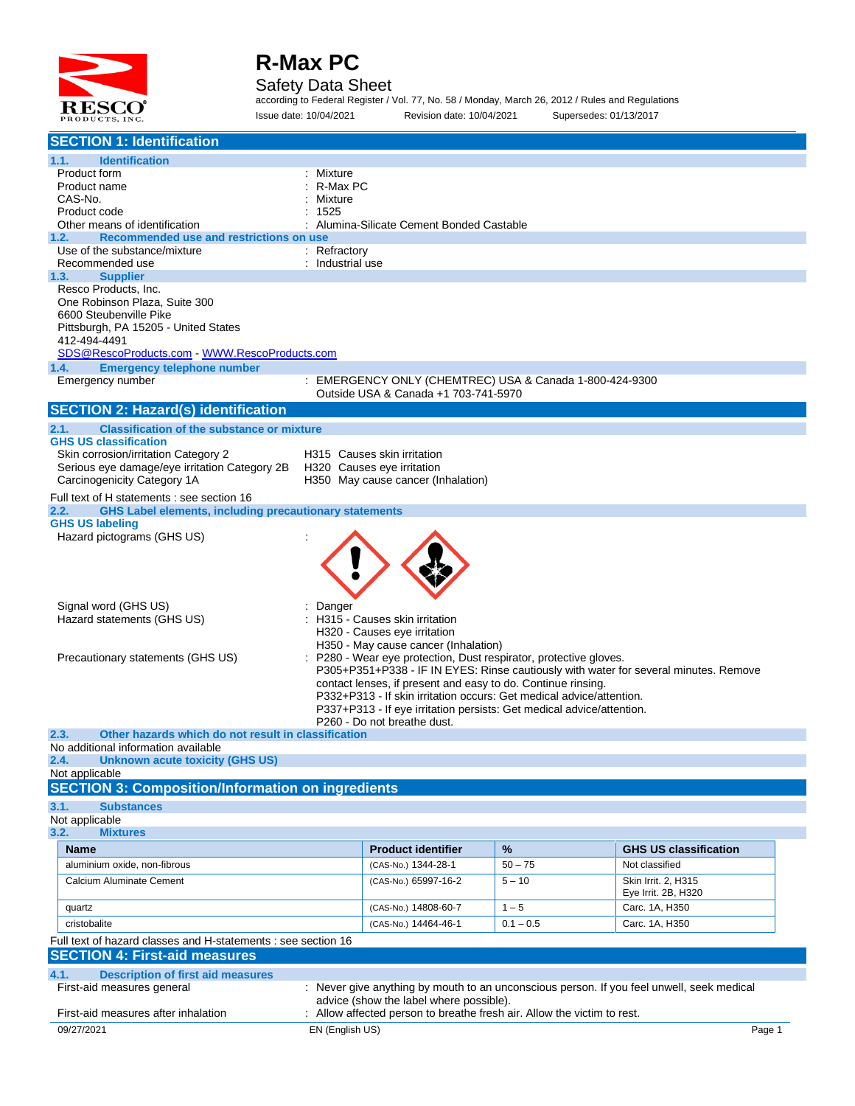

#### Safety Data Sheet

according to Federal Register / Vol. 77, No. 58 / Monday, March 26, 2012 / Rules and Regulations Issue date: 10/04/2021 Revision date: 10/04/2021 Supersedes: 01/13/2017

| <b>SECTION 1: Identification</b>                                                                                    |                  |                                                                                                                                      |             |                                                                                           |
|---------------------------------------------------------------------------------------------------------------------|------------------|--------------------------------------------------------------------------------------------------------------------------------------|-------------|-------------------------------------------------------------------------------------------|
| <b>Identification</b><br>1.1.                                                                                       |                  |                                                                                                                                      |             |                                                                                           |
| Product form                                                                                                        | Mixture          |                                                                                                                                      |             |                                                                                           |
| Product name                                                                                                        | R-Max PC         |                                                                                                                                      |             |                                                                                           |
| CAS-No.<br>Product code                                                                                             | Mixture<br>1525  |                                                                                                                                      |             |                                                                                           |
| Other means of identification                                                                                       |                  | Alumina-Silicate Cement Bonded Castable                                                                                              |             |                                                                                           |
| Recommended use and restrictions on use<br>1.2.                                                                     |                  |                                                                                                                                      |             |                                                                                           |
| Use of the substance/mixture                                                                                        | : Refractory     |                                                                                                                                      |             |                                                                                           |
| Recommended use                                                                                                     | : Industrial use |                                                                                                                                      |             |                                                                                           |
| 1.3.<br><b>Supplier</b><br>Resco Products, Inc.                                                                     |                  |                                                                                                                                      |             |                                                                                           |
| One Robinson Plaza, Suite 300                                                                                       |                  |                                                                                                                                      |             |                                                                                           |
| 6600 Steubenville Pike                                                                                              |                  |                                                                                                                                      |             |                                                                                           |
| Pittsburgh, PA 15205 - United States                                                                                |                  |                                                                                                                                      |             |                                                                                           |
| 412-494-4491                                                                                                        |                  |                                                                                                                                      |             |                                                                                           |
|                                                                                                                     |                  |                                                                                                                                      |             |                                                                                           |
| <b>Emergency telephone number</b><br>1.4.<br>Emergency number                                                       |                  | : EMERGENCY ONLY (CHEMTREC) USA & Canada 1-800-424-9300                                                                              |             |                                                                                           |
|                                                                                                                     |                  | Outside USA & Canada +1 703-741-5970                                                                                                 |             |                                                                                           |
| <b>SECTION 2: Hazard(s) identification</b>                                                                          |                  |                                                                                                                                      |             |                                                                                           |
| <b>Classification of the substance or mixture</b><br>2.1.                                                           |                  |                                                                                                                                      |             |                                                                                           |
| <b>GHS US classification</b>                                                                                        |                  |                                                                                                                                      |             |                                                                                           |
| Skin corrosion/irritation Category 2                                                                                |                  | H315 Causes skin irritation                                                                                                          |             |                                                                                           |
| Serious eye damage/eye irritation Category 2B   H320   Causes eye irritation                                        |                  |                                                                                                                                      |             |                                                                                           |
| Carcinogenicity Category 1A                                                                                         |                  | H350 May cause cancer (Inhalation)                                                                                                   |             |                                                                                           |
| Full text of H statements : see section 16<br><b>GHS Label elements, including precautionary statements</b><br>2.2. |                  |                                                                                                                                      |             |                                                                                           |
| <b>GHS US labeling</b>                                                                                              |                  |                                                                                                                                      |             |                                                                                           |
| Hazard pictograms (GHS US)                                                                                          |                  |                                                                                                                                      |             |                                                                                           |
|                                                                                                                     |                  |                                                                                                                                      |             |                                                                                           |
|                                                                                                                     |                  |                                                                                                                                      |             |                                                                                           |
|                                                                                                                     |                  |                                                                                                                                      |             |                                                                                           |
|                                                                                                                     |                  |                                                                                                                                      |             |                                                                                           |
| Signal word (GHS US)<br>Hazard statements (GHS US)                                                                  | Danger           | H315 - Causes skin irritation                                                                                                        |             |                                                                                           |
|                                                                                                                     |                  | H320 - Causes eye irritation                                                                                                         |             |                                                                                           |
|                                                                                                                     |                  | H350 - May cause cancer (Inhalation)                                                                                                 |             |                                                                                           |
| Precautionary statements (GHS US)                                                                                   |                  | : P280 - Wear eye protection, Dust respirator, protective gloves.                                                                    |             |                                                                                           |
|                                                                                                                     |                  |                                                                                                                                      |             | P305+P351+P338 - IF IN EYES: Rinse cautiously with water for several minutes. Remove      |
|                                                                                                                     |                  | contact lenses, if present and easy to do. Continue rinsing.<br>P332+P313 - If skin irritation occurs: Get medical advice/attention. |             |                                                                                           |
|                                                                                                                     |                  | P337+P313 - If eye irritation persists: Get medical advice/attention.                                                                |             |                                                                                           |
|                                                                                                                     |                  | P260 - Do not breathe dust.                                                                                                          |             |                                                                                           |
| 2.3.<br>Other hazards which do not result in classification                                                         |                  |                                                                                                                                      |             |                                                                                           |
| No additional information available<br><b>Unknown acute toxicity (GHS US)</b><br>2.4.                               |                  |                                                                                                                                      |             |                                                                                           |
| Not applicable                                                                                                      |                  |                                                                                                                                      |             |                                                                                           |
| <b>SECTION 3: Composition/Information on ingredients</b>                                                            |                  |                                                                                                                                      |             |                                                                                           |
| 3.1.<br><b>Substances</b>                                                                                           |                  |                                                                                                                                      |             |                                                                                           |
| Not applicable                                                                                                      |                  |                                                                                                                                      |             |                                                                                           |
| 3.2.<br><b>Mixtures</b>                                                                                             |                  |                                                                                                                                      |             |                                                                                           |
| Name                                                                                                                |                  | <b>Product identifier</b>                                                                                                            | %           | <b>GHS US classification</b>                                                              |
| aluminium oxide, non-fibrous                                                                                        |                  | (CAS-No.) 1344-28-1                                                                                                                  | $50 - 75$   | Not classified                                                                            |
| Calcium Aluminate Cement                                                                                            |                  | (CAS-No.) 65997-16-2                                                                                                                 | $5 - 10$    | Skin Irrit. 2, H315                                                                       |
|                                                                                                                     |                  | (CAS-No.) 14808-60-7                                                                                                                 | $1 - 5$     | Eye Irrit. 2B, H320<br>Carc. 1A, H350                                                     |
| quartz                                                                                                              |                  |                                                                                                                                      |             |                                                                                           |
| cristobalite                                                                                                        |                  | (CAS-No.) 14464-46-1                                                                                                                 | $0.1 - 0.5$ | Carc. 1A, H350                                                                            |
| Full text of hazard classes and H-statements : see section 16<br><b>SECTION 4: First-aid measures</b>               |                  |                                                                                                                                      |             |                                                                                           |
|                                                                                                                     |                  |                                                                                                                                      |             |                                                                                           |
| 4.1.<br><b>Description of first aid measures</b>                                                                    |                  |                                                                                                                                      |             |                                                                                           |
| First-aid measures general                                                                                          |                  | advice (show the label where possible).                                                                                              |             | : Never give anything by mouth to an unconscious person. If you feel unwell, seek medical |
| First-aid measures after inhalation                                                                                 |                  | Allow affected person to breathe fresh air. Allow the victim to rest.                                                                |             |                                                                                           |
| 09/27/2021                                                                                                          | EN (English US)  |                                                                                                                                      |             | Page 1                                                                                    |
|                                                                                                                     |                  |                                                                                                                                      |             |                                                                                           |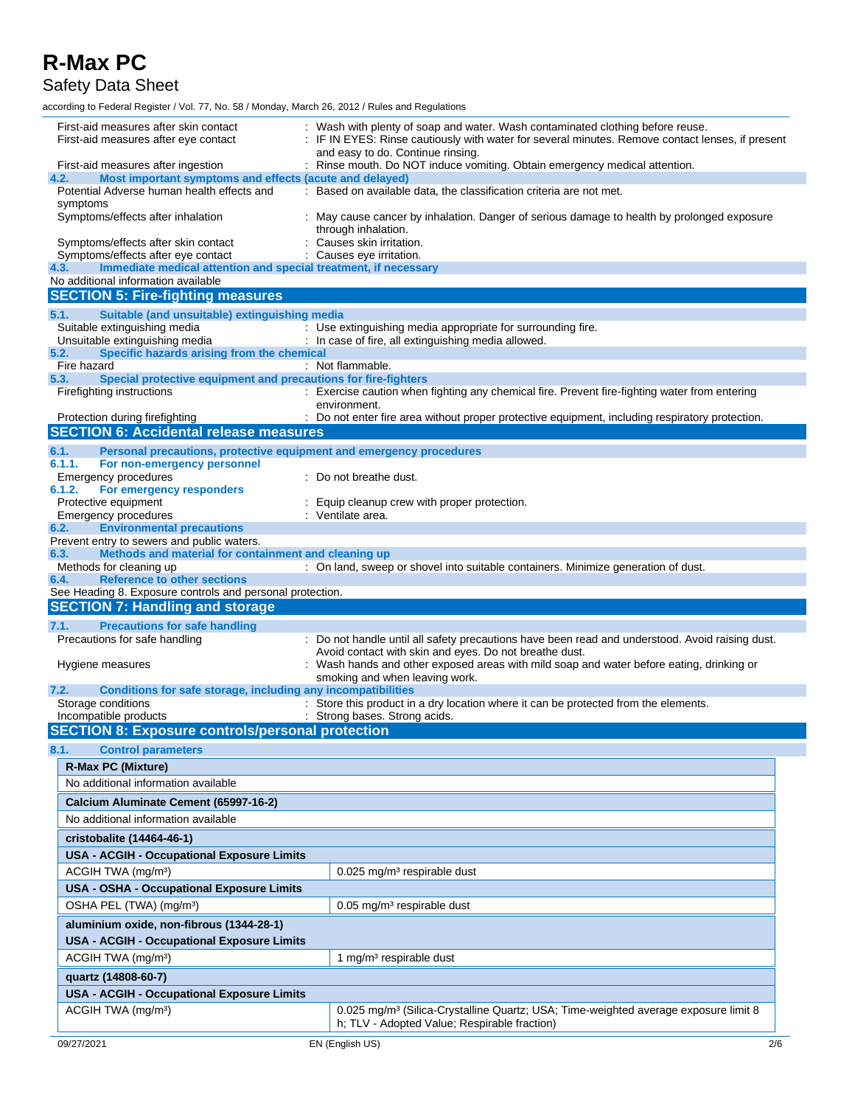Safety Data Sheet

| First-aid measures after skin contact<br>First-aid measures after eye contact                                        | Wash with plenty of soap and water. Wash contaminated clothing before reuse.<br>IF IN EYES: Rinse cautiously with water for several minutes. Remove contact lenses, if present<br>and easy to do. Continue rinsing. |
|----------------------------------------------------------------------------------------------------------------------|---------------------------------------------------------------------------------------------------------------------------------------------------------------------------------------------------------------------|
| First-aid measures after ingestion                                                                                   | : Rinse mouth. Do NOT induce vomiting. Obtain emergency medical attention.                                                                                                                                          |
| 4.2.<br>Most important symptoms and effects (acute and delayed)                                                      |                                                                                                                                                                                                                     |
| Potential Adverse human health effects and                                                                           | : Based on available data, the classification criteria are not met.                                                                                                                                                 |
| symptoms<br>Symptoms/effects after inhalation                                                                        | May cause cancer by inhalation. Danger of serious damage to health by prolonged exposure<br>through inhalation.                                                                                                     |
| Symptoms/effects after skin contact<br>Symptoms/effects after eye contact                                            | Causes skin irritation.<br>Causes eye irritation.                                                                                                                                                                   |
| Immediate medical attention and special treatment, if necessary<br>4.3.                                              |                                                                                                                                                                                                                     |
| No additional information available                                                                                  |                                                                                                                                                                                                                     |
| <b>SECTION 5: Fire-fighting measures</b>                                                                             |                                                                                                                                                                                                                     |
| 5.1.<br>Suitable (and unsuitable) extinguishing media                                                                |                                                                                                                                                                                                                     |
| Suitable extinguishing media                                                                                         | : Use extinguishing media appropriate for surrounding fire.                                                                                                                                                         |
| Unsuitable extinguishing media<br>Specific hazards arising from the chemical<br>5.2.                                 | : In case of fire, all extinguishing media allowed.                                                                                                                                                                 |
| Fire hazard                                                                                                          | : Not flammable.                                                                                                                                                                                                    |
| Special protective equipment and precautions for fire-fighters<br>5.3.                                               |                                                                                                                                                                                                                     |
| Firefighting instructions                                                                                            | : Exercise caution when fighting any chemical fire. Prevent fire-fighting water from entering<br>environment.                                                                                                       |
| Protection during firefighting<br><b>SECTION 6: Accidental release measures</b>                                      | : Do not enter fire area without proper protective equipment, including respiratory protection.                                                                                                                     |
|                                                                                                                      |                                                                                                                                                                                                                     |
| Personal precautions, protective equipment and emergency procedures<br>6.1.<br>6.1.1.<br>For non-emergency personnel |                                                                                                                                                                                                                     |
| Emergency procedures                                                                                                 | : Do not breathe dust.                                                                                                                                                                                              |
| 6.1.2.<br>For emergency responders                                                                                   |                                                                                                                                                                                                                     |
| Protective equipment<br>Emergency procedures                                                                         | Equip cleanup crew with proper protection.<br>: Ventilate area.                                                                                                                                                     |
| <b>Environmental precautions</b><br>6.2.                                                                             |                                                                                                                                                                                                                     |
| Prevent entry to sewers and public waters.                                                                           |                                                                                                                                                                                                                     |
| Methods and material for containment and cleaning up<br>6.3.<br>Methods for cleaning up                              |                                                                                                                                                                                                                     |
| <b>Reference to other sections</b><br>6.4.                                                                           | : On land, sweep or shovel into suitable containers. Minimize generation of dust.                                                                                                                                   |
|                                                                                                                      |                                                                                                                                                                                                                     |
| See Heading 8. Exposure controls and personal protection.                                                            |                                                                                                                                                                                                                     |
| <b>SECTION 7: Handling and storage</b>                                                                               |                                                                                                                                                                                                                     |
| <b>Precautions for safe handling</b><br>7.1.                                                                         |                                                                                                                                                                                                                     |
| Precautions for safe handling                                                                                        | : Do not handle until all safety precautions have been read and understood. Avoid raising dust.                                                                                                                     |
|                                                                                                                      | Avoid contact with skin and eyes. Do not breathe dust.                                                                                                                                                              |
| Hygiene measures                                                                                                     | Wash hands and other exposed areas with mild soap and water before eating, drinking or<br>smoking and when leaving work.                                                                                            |
| 7.2.<br>Conditions for safe storage, including any incompatibilities                                                 |                                                                                                                                                                                                                     |
| Storage conditions                                                                                                   | : Store this product in a dry location where it can be protected from the elements.                                                                                                                                 |
| Incompatible products                                                                                                | : Strong bases. Strong acids.                                                                                                                                                                                       |
| <b>SECTION 8: Exposure controls/personal protection</b>                                                              |                                                                                                                                                                                                                     |
| 8.1.<br><b>Control parameters</b>                                                                                    |                                                                                                                                                                                                                     |
| <b>R-Max PC (Mixture)</b>                                                                                            |                                                                                                                                                                                                                     |
| No additional information available                                                                                  |                                                                                                                                                                                                                     |
| Calcium Aluminate Cement (65997-16-2)                                                                                |                                                                                                                                                                                                                     |
| No additional information available                                                                                  |                                                                                                                                                                                                                     |
| cristobalite (14464-46-1)                                                                                            |                                                                                                                                                                                                                     |
| <b>USA - ACGIH - Occupational Exposure Limits</b>                                                                    |                                                                                                                                                                                                                     |
| ACGIH TWA (mg/m <sup>3</sup> )                                                                                       | 0.025 mg/m <sup>3</sup> respirable dust                                                                                                                                                                             |
| USA - OSHA - Occupational Exposure Limits                                                                            |                                                                                                                                                                                                                     |
| OSHA PEL (TWA) (mg/m <sup>3</sup> )                                                                                  | 0.05 mg/m <sup>3</sup> respirable dust                                                                                                                                                                              |
| aluminium oxide, non-fibrous (1344-28-1)                                                                             |                                                                                                                                                                                                                     |
| <b>USA - ACGIH - Occupational Exposure Limits</b>                                                                    |                                                                                                                                                                                                                     |
| ACGIH TWA (mg/m <sup>3</sup> )                                                                                       | 1 mg/m <sup>3</sup> respirable dust                                                                                                                                                                                 |
| quartz (14808-60-7)                                                                                                  |                                                                                                                                                                                                                     |
| <b>USA - ACGIH - Occupational Exposure Limits</b>                                                                    |                                                                                                                                                                                                                     |
| ACGIH TWA (mg/m <sup>3</sup> )                                                                                       | 0.025 mg/m <sup>3</sup> (Silica-Crystalline Quartz; USA; Time-weighted average exposure limit 8<br>h; TLV - Adopted Value; Respirable fraction)                                                                     |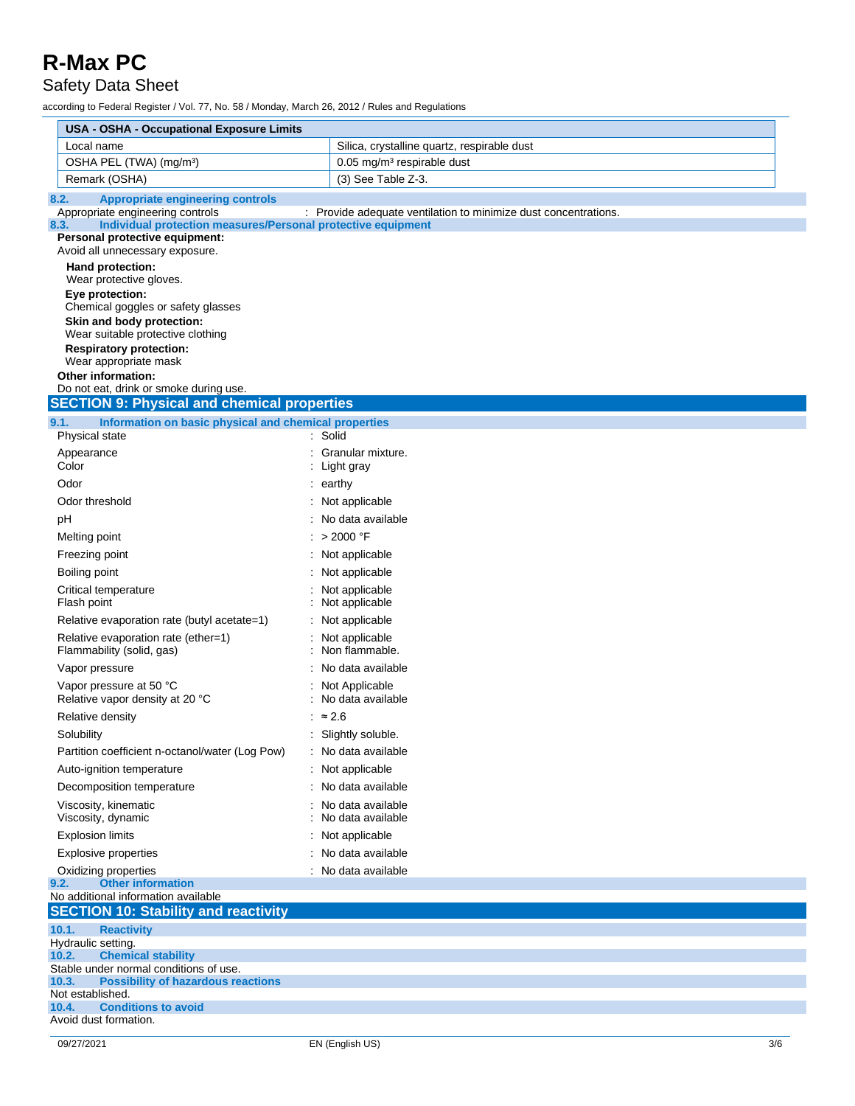### Safety Data Sheet

| <b>USA - OSHA - Occupational Exposure Limits</b>                                                         |                                                                 |  |  |
|----------------------------------------------------------------------------------------------------------|-----------------------------------------------------------------|--|--|
| Local name                                                                                               | Silica, crystalline quartz, respirable dust                     |  |  |
| OSHA PEL (TWA) (mg/m <sup>3</sup> )                                                                      | $0.05$ mg/m <sup>3</sup> respirable dust                        |  |  |
| Remark (OSHA)                                                                                            | (3) See Table Z-3.                                              |  |  |
| 8.2.<br><b>Appropriate engineering controls</b>                                                          |                                                                 |  |  |
| Appropriate engineering controls<br>Individual protection measures/Personal protective equipment<br>8.3. | : Provide adequate ventilation to minimize dust concentrations. |  |  |
| Personal protective equipment:<br>Avoid all unnecessary exposure.                                        |                                                                 |  |  |
| Hand protection:                                                                                         |                                                                 |  |  |
| Wear protective gloves.                                                                                  |                                                                 |  |  |
| Eye protection:<br>Chemical goggles or safety glasses                                                    |                                                                 |  |  |
| Skin and body protection:                                                                                |                                                                 |  |  |
| Wear suitable protective clothing<br><b>Respiratory protection:</b>                                      |                                                                 |  |  |
| Wear appropriate mask                                                                                    |                                                                 |  |  |
| <b>Other information:</b>                                                                                |                                                                 |  |  |
| Do not eat, drink or smoke during use.<br><b>SECTION 9: Physical and chemical properties</b>             |                                                                 |  |  |
|                                                                                                          |                                                                 |  |  |
| 9.1.<br>Information on basic physical and chemical properties<br>Physical state                          | : Solid                                                         |  |  |
| Appearance                                                                                               | Granular mixture.                                               |  |  |
| Color                                                                                                    | Light gray                                                      |  |  |
| Odor                                                                                                     | earthy                                                          |  |  |
| Odor threshold                                                                                           | : Not applicable                                                |  |  |
| рH                                                                                                       | . No data available                                             |  |  |
| Melting point                                                                                            | : $>$ 2000 °F                                                   |  |  |
| Freezing point                                                                                           | : Not applicable                                                |  |  |
| Boiling point                                                                                            | Not applicable                                                  |  |  |
| Critical temperature<br>Flash point                                                                      | Not applicable<br>Not applicable                                |  |  |
| Relative evaporation rate (butyl acetate=1)                                                              | : Not applicable                                                |  |  |
| Relative evaporation rate (ether=1)<br>Flammability (solid, gas)                                         | : Not applicable<br>Non flammable.                              |  |  |
| Vapor pressure                                                                                           | No data available                                               |  |  |
| Vapor pressure at 50 °C<br>Relative vapor density at 20 °C                                               | : Not Applicable<br>No data available                           |  |  |
| Relative density                                                                                         | $\approx 2.6$                                                   |  |  |
| Solubility                                                                                               | Slightly soluble.                                               |  |  |
| Partition coefficient n-octanol/water (Log Pow)                                                          | : No data available                                             |  |  |
| Auto-ignition temperature                                                                                | : Not applicable                                                |  |  |
| Decomposition temperature                                                                                | : No data available                                             |  |  |
| Viscosity, kinematic<br>Viscosity, dynamic                                                               | : No data available<br>No data available                        |  |  |
| <b>Explosion limits</b>                                                                                  | Not applicable                                                  |  |  |
| <b>Explosive properties</b>                                                                              | No data available                                               |  |  |
| Oxidizing properties<br><b>Other information</b>                                                         | : No data available                                             |  |  |
| 9.2.<br>No additional information available                                                              |                                                                 |  |  |
| <b>SECTION 10: Stability and reactivity</b>                                                              |                                                                 |  |  |
| 10.1.<br><b>Reactivity</b>                                                                               |                                                                 |  |  |
| Hydraulic setting.<br><b>Chemical stability</b><br>10.2.                                                 |                                                                 |  |  |
| Stable under normal conditions of use.                                                                   |                                                                 |  |  |
| 10.3.<br><b>Possibility of hazardous reactions</b><br>Not established.                                   |                                                                 |  |  |
| <b>Conditions to avoid</b><br>10.4.                                                                      |                                                                 |  |  |
| Avoid dust formation.                                                                                    |                                                                 |  |  |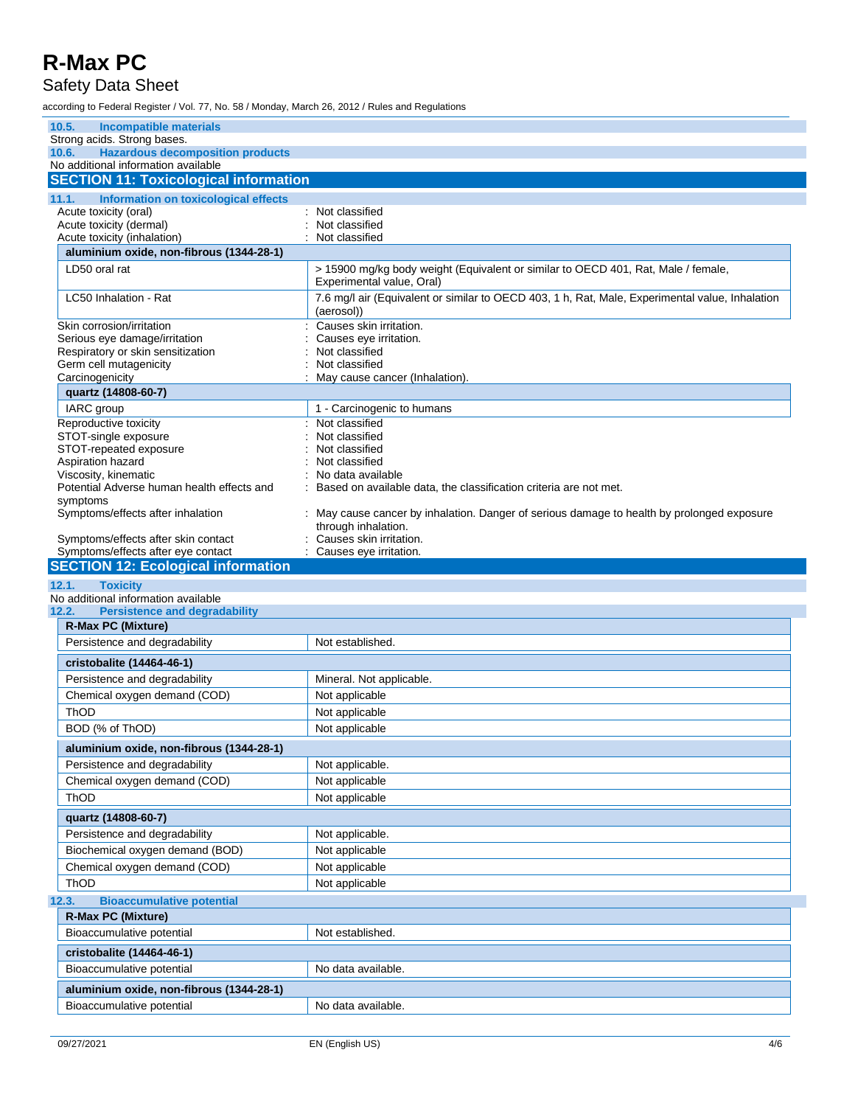### Safety Data Sheet

| 10.5.<br>Incompatible materials                                                         |                                                                                                               |
|-----------------------------------------------------------------------------------------|---------------------------------------------------------------------------------------------------------------|
| Strong acids. Strong bases.                                                             |                                                                                                               |
| <b>Hazardous decomposition products</b><br>10.6.<br>No additional information available |                                                                                                               |
| <b>SECTION 11: Toxicological information</b>                                            |                                                                                                               |
| 11.1.<br>Information on toxicological effects                                           |                                                                                                               |
| Acute toxicity (oral)                                                                   | : Not classified                                                                                              |
| Acute toxicity (dermal)                                                                 | Not classified                                                                                                |
| Acute toxicity (inhalation)<br>aluminium oxide, non-fibrous (1344-28-1)                 | Not classified                                                                                                |
| LD50 oral rat                                                                           | > 15900 mg/kg body weight (Equivalent or similar to OECD 401, Rat, Male / female,                             |
|                                                                                         | Experimental value, Oral)                                                                                     |
| LC50 Inhalation - Rat                                                                   | 7.6 mg/l air (Equivalent or similar to OECD 403, 1 h, Rat, Male, Experimental value, Inhalation<br>(aerosol)) |
| Skin corrosion/irritation                                                               | Causes skin irritation.                                                                                       |
| Serious eye damage/irritation<br>Respiratory or skin sensitization                      | Causes eye irritation.<br>Not classified                                                                      |
| Germ cell mutagenicity                                                                  | Not classified                                                                                                |
| Carcinogenicity                                                                         | May cause cancer (Inhalation).                                                                                |
| quartz (14808-60-7)                                                                     |                                                                                                               |
| IARC group                                                                              | 1 - Carcinogenic to humans                                                                                    |
| Reproductive toxicity<br>STOT-single exposure                                           | Not classified<br>Not classified                                                                              |
| STOT-repeated exposure                                                                  | Not classified                                                                                                |
| Aspiration hazard                                                                       | Not classified                                                                                                |
| Viscosity, kinematic                                                                    | No data available                                                                                             |
| Potential Adverse human health effects and<br>symptoms                                  | Based on available data, the classification criteria are not met.                                             |
| Symptoms/effects after inhalation                                                       | May cause cancer by inhalation. Danger of serious damage to health by prolonged exposure                      |
|                                                                                         | through inhalation.                                                                                           |
| Symptoms/effects after skin contact                                                     | Causes skin irritation.                                                                                       |
| Symptoms/effects after eye contact                                                      | Causes eye irritation.                                                                                        |
|                                                                                         |                                                                                                               |
| <b>SECTION 12: Ecological information</b>                                               |                                                                                                               |
| 12.1.<br><b>Toxicity</b><br>No additional information available                         |                                                                                                               |
| <b>Persistence and degradability</b><br>12.2.                                           |                                                                                                               |
| <b>R-Max PC (Mixture)</b>                                                               |                                                                                                               |
| Persistence and degradability                                                           | Not established.                                                                                              |
| cristobalite (14464-46-1)                                                               |                                                                                                               |
| Persistence and degradability                                                           | Mineral. Not applicable.                                                                                      |
| Chemical oxygen demand (COD)                                                            | Not applicable                                                                                                |
| ThOD                                                                                    | Not applicable                                                                                                |
| BOD (% of ThOD)                                                                         | Not applicable                                                                                                |
| aluminium oxide, non-fibrous (1344-28-1)                                                |                                                                                                               |
| Persistence and degradability                                                           | Not applicable.                                                                                               |
| Chemical oxygen demand (COD)                                                            | Not applicable                                                                                                |
| ThOD                                                                                    | Not applicable                                                                                                |
| quartz (14808-60-7)                                                                     |                                                                                                               |
| Persistence and degradability                                                           | Not applicable.                                                                                               |
| Biochemical oxygen demand (BOD)                                                         | Not applicable                                                                                                |
| Chemical oxygen demand (COD)                                                            | Not applicable                                                                                                |
| ThOD                                                                                    | Not applicable                                                                                                |
| <b>Bioaccumulative potential</b>                                                        |                                                                                                               |
| <b>R-Max PC (Mixture)</b>                                                               |                                                                                                               |
| Bioaccumulative potential                                                               | Not established.                                                                                              |
| cristobalite (14464-46-1)                                                               |                                                                                                               |
| 12.3.<br>Bioaccumulative potential                                                      | No data available.                                                                                            |
| aluminium oxide, non-fibrous (1344-28-1)                                                |                                                                                                               |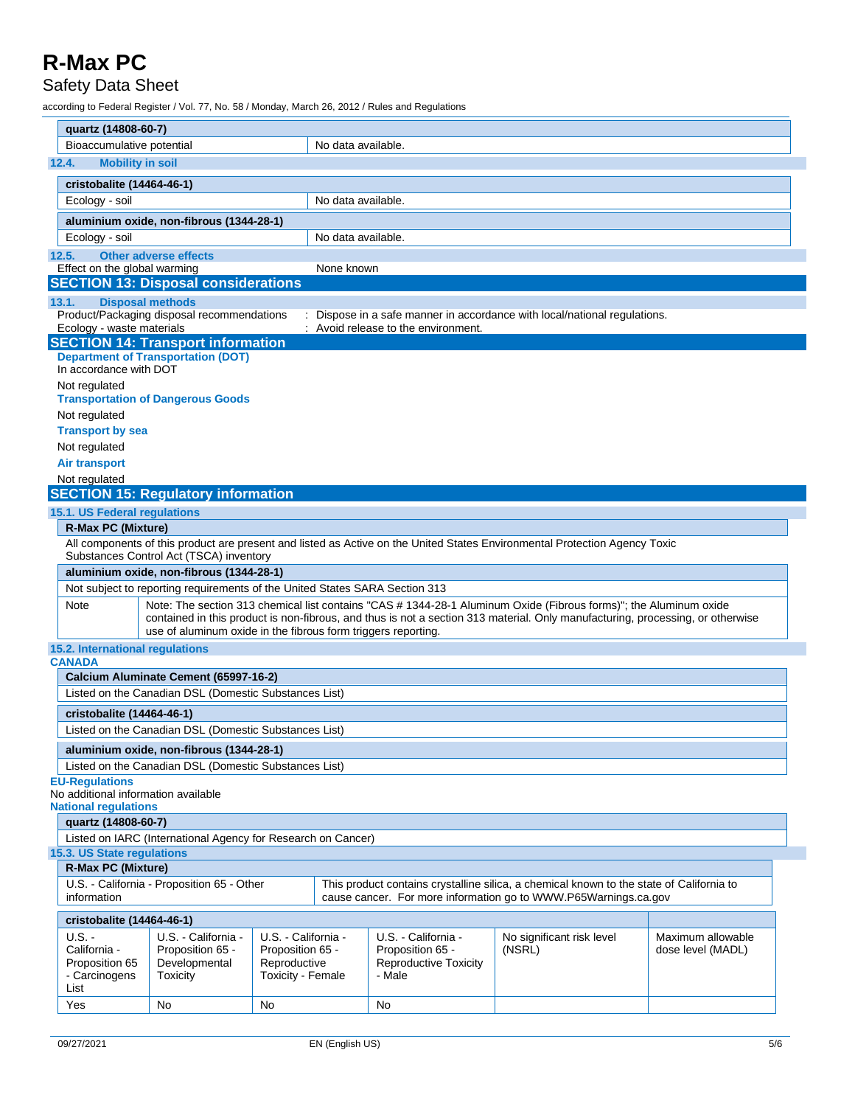### Safety Data Sheet

|                                                              | quartz (14808-60-7)                                                                                                                                                                                                                                                                                                          |                                               |                                                       |                    |                                                            |                                                                                                                            |                   |  |
|--------------------------------------------------------------|------------------------------------------------------------------------------------------------------------------------------------------------------------------------------------------------------------------------------------------------------------------------------------------------------------------------------|-----------------------------------------------|-------------------------------------------------------|--------------------|------------------------------------------------------------|----------------------------------------------------------------------------------------------------------------------------|-------------------|--|
|                                                              | Bioaccumulative potential                                                                                                                                                                                                                                                                                                    |                                               |                                                       | No data available. |                                                            |                                                                                                                            |                   |  |
|                                                              | 12.4.<br><b>Mobility in soil</b>                                                                                                                                                                                                                                                                                             |                                               |                                                       |                    |                                                            |                                                                                                                            |                   |  |
|                                                              | cristobalite (14464-46-1)                                                                                                                                                                                                                                                                                                    |                                               |                                                       |                    |                                                            |                                                                                                                            |                   |  |
|                                                              | Ecology - soil                                                                                                                                                                                                                                                                                                               |                                               |                                                       | No data available. |                                                            |                                                                                                                            |                   |  |
|                                                              |                                                                                                                                                                                                                                                                                                                              | aluminium oxide, non-fibrous (1344-28-1)      |                                                       |                    |                                                            |                                                                                                                            |                   |  |
|                                                              | Ecology - soil                                                                                                                                                                                                                                                                                                               |                                               |                                                       | No data available. |                                                            |                                                                                                                            |                   |  |
|                                                              | 12.5.                                                                                                                                                                                                                                                                                                                        | <b>Other adverse effects</b>                  |                                                       |                    |                                                            |                                                                                                                            |                   |  |
|                                                              | Effect on the global warming                                                                                                                                                                                                                                                                                                 |                                               |                                                       | None known         |                                                            |                                                                                                                            |                   |  |
|                                                              |                                                                                                                                                                                                                                                                                                                              | <b>SECTION 13: Disposal considerations</b>    |                                                       |                    |                                                            |                                                                                                                            |                   |  |
|                                                              | <b>Disposal methods</b><br>13.1.                                                                                                                                                                                                                                                                                             |                                               |                                                       |                    |                                                            |                                                                                                                            |                   |  |
|                                                              |                                                                                                                                                                                                                                                                                                                              | Product/Packaging disposal recommendations    |                                                       |                    |                                                            | Dispose in a safe manner in accordance with local/national regulations.                                                    |                   |  |
|                                                              | Ecology - waste materials                                                                                                                                                                                                                                                                                                    |                                               |                                                       |                    | Avoid release to the environment.                          |                                                                                                                            |                   |  |
|                                                              |                                                                                                                                                                                                                                                                                                                              | <b>SECTION 14: Transport information</b>      |                                                       |                    |                                                            |                                                                                                                            |                   |  |
|                                                              | In accordance with DOT                                                                                                                                                                                                                                                                                                       | <b>Department of Transportation (DOT)</b>     |                                                       |                    |                                                            |                                                                                                                            |                   |  |
|                                                              | Not regulated                                                                                                                                                                                                                                                                                                                | <b>Transportation of Dangerous Goods</b>      |                                                       |                    |                                                            |                                                                                                                            |                   |  |
|                                                              | Not regulated                                                                                                                                                                                                                                                                                                                |                                               |                                                       |                    |                                                            |                                                                                                                            |                   |  |
|                                                              | <b>Transport by sea</b>                                                                                                                                                                                                                                                                                                      |                                               |                                                       |                    |                                                            |                                                                                                                            |                   |  |
|                                                              | Not regulated                                                                                                                                                                                                                                                                                                                |                                               |                                                       |                    |                                                            |                                                                                                                            |                   |  |
|                                                              | <b>Air transport</b>                                                                                                                                                                                                                                                                                                         |                                               |                                                       |                    |                                                            |                                                                                                                            |                   |  |
|                                                              | Not regulated                                                                                                                                                                                                                                                                                                                |                                               |                                                       |                    |                                                            |                                                                                                                            |                   |  |
|                                                              |                                                                                                                                                                                                                                                                                                                              | <b>SECTION 15: Regulatory information</b>     |                                                       |                    |                                                            |                                                                                                                            |                   |  |
|                                                              | 15.1. US Federal regulations                                                                                                                                                                                                                                                                                                 |                                               |                                                       |                    |                                                            |                                                                                                                            |                   |  |
|                                                              | <b>R-Max PC (Mixture)</b>                                                                                                                                                                                                                                                                                                    |                                               |                                                       |                    |                                                            |                                                                                                                            |                   |  |
|                                                              |                                                                                                                                                                                                                                                                                                                              | Substances Control Act (TSCA) inventory       |                                                       |                    |                                                            | All components of this product are present and listed as Active on the United States Environmental Protection Agency Toxic |                   |  |
|                                                              |                                                                                                                                                                                                                                                                                                                              | aluminium oxide, non-fibrous (1344-28-1)      |                                                       |                    |                                                            |                                                                                                                            |                   |  |
|                                                              | Not subject to reporting requirements of the United States SARA Section 313                                                                                                                                                                                                                                                  |                                               |                                                       |                    |                                                            |                                                                                                                            |                   |  |
|                                                              | Note: The section 313 chemical list contains "CAS # 1344-28-1 Aluminum Oxide (Fibrous forms)"; the Aluminum oxide<br>Note<br>contained in this product is non-fibrous, and thus is not a section 313 material. Only manufacturing, processing, or otherwise<br>use of aluminum oxide in the fibrous form triggers reporting. |                                               |                                                       |                    |                                                            |                                                                                                                            |                   |  |
|                                                              | 15.2. International regulations<br><b>CANADA</b>                                                                                                                                                                                                                                                                             |                                               |                                                       |                    |                                                            |                                                                                                                            |                   |  |
|                                                              |                                                                                                                                                                                                                                                                                                                              |                                               |                                                       |                    |                                                            |                                                                                                                            |                   |  |
|                                                              | Calcium Aluminate Cement (65997-16-2)                                                                                                                                                                                                                                                                                        |                                               |                                                       |                    |                                                            |                                                                                                                            |                   |  |
|                                                              | Listed on the Canadian DSL (Domestic Substances List)                                                                                                                                                                                                                                                                        |                                               |                                                       |                    |                                                            |                                                                                                                            |                   |  |
|                                                              | cristobalite (14464-46-1)                                                                                                                                                                                                                                                                                                    |                                               |                                                       |                    |                                                            |                                                                                                                            |                   |  |
|                                                              | Listed on the Canadian DSL (Domestic Substances List)                                                                                                                                                                                                                                                                        |                                               |                                                       |                    |                                                            |                                                                                                                            |                   |  |
|                                                              | aluminium oxide, non-fibrous (1344-28-1)                                                                                                                                                                                                                                                                                     |                                               |                                                       |                    |                                                            |                                                                                                                            |                   |  |
|                                                              | Listed on the Canadian DSL (Domestic Substances List)                                                                                                                                                                                                                                                                        |                                               |                                                       |                    |                                                            |                                                                                                                            |                   |  |
| <b>EU-Regulations</b><br>No additional information available |                                                                                                                                                                                                                                                                                                                              |                                               |                                                       |                    |                                                            |                                                                                                                            |                   |  |
|                                                              | <b>National regulations</b>                                                                                                                                                                                                                                                                                                  |                                               |                                                       |                    |                                                            |                                                                                                                            |                   |  |
|                                                              | quartz (14808-60-7)                                                                                                                                                                                                                                                                                                          |                                               |                                                       |                    |                                                            |                                                                                                                            |                   |  |
|                                                              | Listed on IARC (International Agency for Research on Cancer)                                                                                                                                                                                                                                                                 |                                               |                                                       |                    |                                                            |                                                                                                                            |                   |  |
|                                                              | 15.3. US State regulations<br><b>R-Max PC (Mixture)</b>                                                                                                                                                                                                                                                                      |                                               |                                                       |                    |                                                            |                                                                                                                            |                   |  |
|                                                              | This product contains crystalline silica, a chemical known to the state of California to<br>U.S. - California - Proposition 65 - Other<br>information<br>cause cancer. For more information go to WWW.P65Warnings.ca.gov                                                                                                     |                                               |                                                       |                    |                                                            |                                                                                                                            |                   |  |
|                                                              | cristobalite (14464-46-1)                                                                                                                                                                                                                                                                                                    |                                               |                                                       |                    |                                                            |                                                                                                                            |                   |  |
|                                                              | $U.S. -$                                                                                                                                                                                                                                                                                                                     | U.S. - California -                           | U.S. - California -                                   |                    | U.S. - California -                                        | No significant risk level                                                                                                  | Maximum allowable |  |
|                                                              | California -<br>Proposition 65<br>- Carcinogens<br>List                                                                                                                                                                                                                                                                      | Proposition 65 -<br>Developmental<br>Toxicity | Proposition 65 -<br>Reproductive<br>Toxicity - Female |                    | Proposition 65 -<br><b>Reproductive Toxicity</b><br>- Male | (NSRL)                                                                                                                     | dose level (MADL) |  |
|                                                              | Yes                                                                                                                                                                                                                                                                                                                          | No                                            | No                                                    |                    | No                                                         |                                                                                                                            |                   |  |